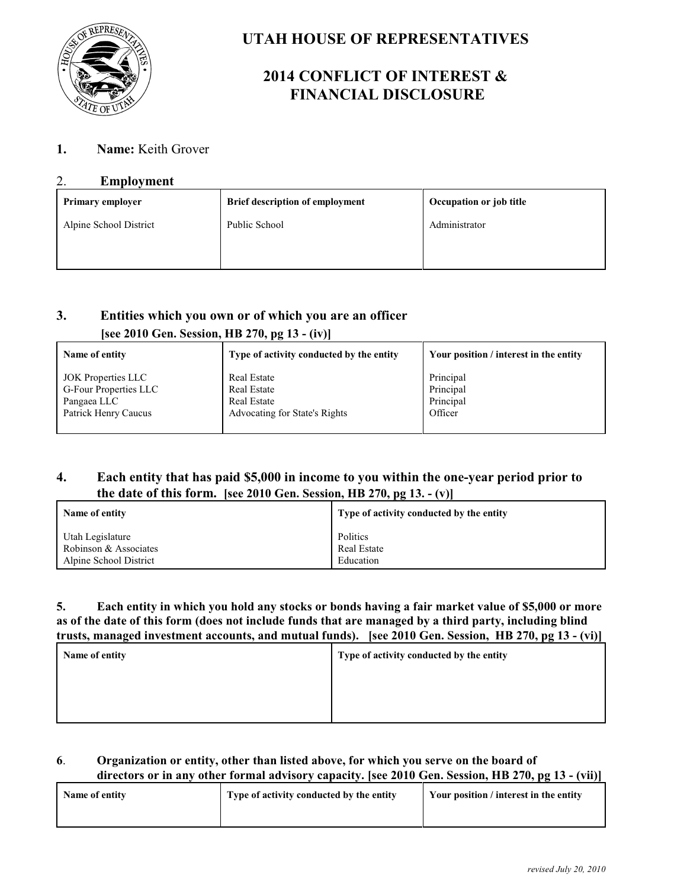

# **UTAH HOUSE OF REPRESENTATIVES**

# **2014 CONFLICT OF INTEREST & FINANCIAL DISCLOSURE**

## **1. Name:** Keith Grover

### 2. **Employment**

| <b>Primary employer</b> | <b>Brief description of employment</b> | Occupation or job title |
|-------------------------|----------------------------------------|-------------------------|
| Alpine School District  | Public School                          | Administrator           |
|                         |                                        |                         |
|                         |                                        |                         |

## **3. Entities which you own or of which you are an officer [see 2010 Gen. Session, HB 270, pg 13 - (iv)]**

| Name of entity               | Type of activity conducted by the entity | Your position / interest in the entity |
|------------------------------|------------------------------------------|----------------------------------------|
| <b>JOK Properties LLC</b>    | <b>Real Estate</b>                       | Principal                              |
| <b>G-Four Properties LLC</b> | <b>Real Estate</b>                       | Principal                              |
| Pangaea LLC                  | <b>Real Estate</b>                       | Principal                              |
| Patrick Henry Caucus         | Advocating for State's Rights            | Officer                                |

## **4. Each entity that has paid \$5,000 in income to you within the one-year period prior to the date of this form. [see 2010 Gen. Session, HB 270, pg 13. - (v)]**

| Name of entity         | Type of activity conducted by the entity |
|------------------------|------------------------------------------|
| Utah Legislature       | Politics                                 |
| Robinson & Associates  | <b>Real Estate</b>                       |
| Alpine School District | Education                                |

#### **5. Each entity in which you hold any stocks or bonds having a fair market value of \$5,000 or more as of the date of this form (does not include funds that are managed by a third party, including blind trusts, managed investment accounts, and mutual funds). [see 2010 Gen. Session, HB 270, pg 13 - (vi)]**

| Name of entity | Type of activity conducted by the entity |
|----------------|------------------------------------------|
|                |                                          |
|                |                                          |
|                |                                          |

### **6**. **Organization or entity, other than listed above, for which you serve on the board of directors or in any other formal advisory capacity. [see 2010 Gen. Session, HB 270, pg 13 - (vii)]**

| Name of entity | Type of activity conducted by the entity | Your position / interest in the entity |
|----------------|------------------------------------------|----------------------------------------|
|                |                                          |                                        |